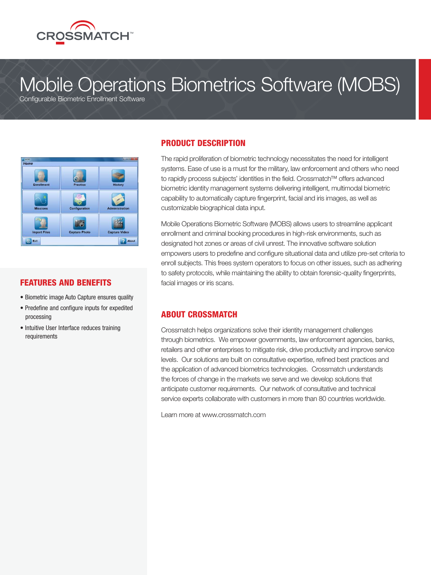

# Mobile Operations Biometrics Software (MOBS)

Configurable Biometric Enrollment Software



### FEATURES AND BENEFITS

- Biometric image Auto Capture ensures quality
- Predefine and configure inputs for expedited processing
- Intuitive User Interface reduces training requirements

# PRODUCT DESCRIPTION

The rapid proliferation of biometric technology necessitates the need for intelligent systems. Ease of use is a must for the military, law enforcement and others who need to rapidly process subjects' identities in the field. Crossmatch™ offers advanced biometric identity management systems delivering intelligent, multimodal biometric capability to automatically capture fingerprint, facial and iris images, as well as customizable biographical data input.

Mobile Operations Biometric Software (MOBS) allows users to streamline applicant enrollment and criminal booking procedures in high-risk environments, such as designated hot zones or areas of civil unrest. The innovative software solution empowers users to predefine and configure situational data and utilize pre-set criteria to enroll subjects. This frees system operators to focus on other issues, such as adhering to safety protocols, while maintaining the ability to obtain forensic-quality fingerprints, facial images or iris scans.

## ABOUT CROSSMATCH

Crossmatch helps organizations solve their identity management challenges through biometrics. We empower governments, law enforcement agencies, banks, retailers and other enterprises to mitigate risk, drive productivity and improve service levels. Our solutions are built on consultative expertise, refined best practices and the application of advanced biometrics technologies. Crossmatch understands the forces of change in the markets we serve and we develop solutions that anticipate customer requirements. Our network of consultative and technical service experts collaborate with customers in more than 80 countries worldwide.

Learn more at www.crossmatch.com